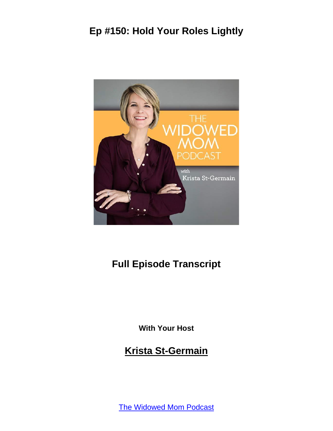

### **Full Episode Transcript**

**With Your Host**

#### **Krista St-Germain**

[The Widowed Mom Podcast](https://coachingwithkrista.com/podcast)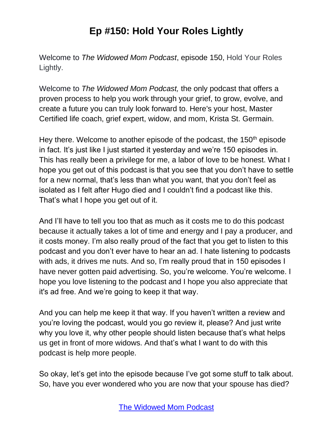Welcome to *The Widowed Mom Podcast*, episode 150, Hold Your Roles Lightly.

Welcome to *The Widowed Mom Podcast,* the only podcast that offers a proven process to help you work through your grief, to grow, evolve, and create a future you can truly look forward to. Here's your host, Master Certified life coach, grief expert, widow, and mom, Krista St. Germain.

Hey there. Welcome to another episode of the podcast, the  $150<sup>th</sup>$  episode in fact. It's just like I just started it yesterday and we're 150 episodes in. This has really been a privilege for me, a labor of love to be honest. What I hope you get out of this podcast is that you see that you don't have to settle for a new normal, that's less than what you want, that you don't feel as isolated as I felt after Hugo died and I couldn't find a podcast like this. That's what I hope you get out of it.

And I'll have to tell you too that as much as it costs me to do this podcast because it actually takes a lot of time and energy and I pay a producer, and it costs money. I'm also really proud of the fact that you get to listen to this podcast and you don't ever have to hear an ad. I hate listening to podcasts with ads, it drives me nuts. And so, I'm really proud that in 150 episodes I have never gotten paid advertising. So, you're welcome. You're welcome. I hope you love listening to the podcast and I hope you also appreciate that it's ad free. And we're going to keep it that way.

And you can help me keep it that way. If you haven't written a review and you're loving the podcast, would you go review it, please? And just write why you love it, why other people should listen because that's what helps us get in front of more widows. And that's what I want to do with this podcast is help more people.

So okay, let's get into the episode because I've got some stuff to talk about. So, have you ever wondered who you are now that your spouse has died?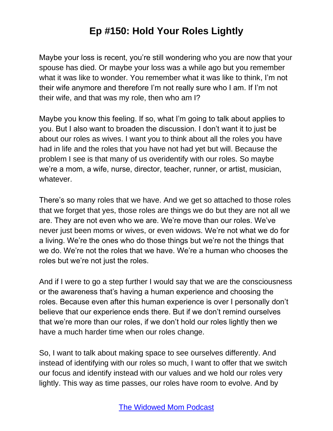Maybe your loss is recent, you're still wondering who you are now that your spouse has died. Or maybe your loss was a while ago but you remember what it was like to wonder. You remember what it was like to think, I'm not their wife anymore and therefore I'm not really sure who I am. If I'm not their wife, and that was my role, then who am I?

Maybe you know this feeling. If so, what I'm going to talk about applies to you. But I also want to broaden the discussion. I don't want it to just be about our roles as wives. I want you to think about all the roles you have had in life and the roles that you have not had yet but will. Because the problem I see is that many of us overidentify with our roles. So maybe we're a mom, a wife, nurse, director, teacher, runner, or artist, musician, whatever.

There's so many roles that we have. And we get so attached to those roles that we forget that yes, those roles are things we do but they are not all we are. They are not even who we are. We're move than our roles. We've never just been moms or wives, or even widows. We're not what we do for a living. We're the ones who do those things but we're not the things that we do. We're not the roles that we have. We're a human who chooses the roles but we're not just the roles.

And if I were to go a step further I would say that we are the consciousness or the awareness that's having a human experience and choosing the roles. Because even after this human experience is over I personally don't believe that our experience ends there. But if we don't remind ourselves that we're more than our roles, if we don't hold our roles lightly then we have a much harder time when our roles change.

So, I want to talk about making space to see ourselves differently. And instead of identifying with our roles so much, I want to offer that we switch our focus and identify instead with our values and we hold our roles very lightly. This way as time passes, our roles have room to evolve. And by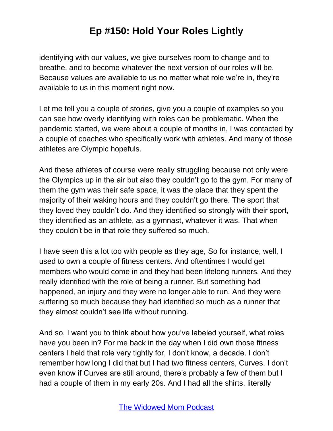identifying with our values, we give ourselves room to change and to breathe, and to become whatever the next version of our roles will be. Because values are available to us no matter what role we're in, they're available to us in this moment right now.

Let me tell you a couple of stories, give you a couple of examples so you can see how overly identifying with roles can be problematic. When the pandemic started, we were about a couple of months in, I was contacted by a couple of coaches who specifically work with athletes. And many of those athletes are Olympic hopefuls.

And these athletes of course were really struggling because not only were the Olympics up in the air but also they couldn't go to the gym. For many of them the gym was their safe space, it was the place that they spent the majority of their waking hours and they couldn't go there. The sport that they loved they couldn't do. And they identified so strongly with their sport, they identified as an athlete, as a gymnast, whatever it was. That when they couldn't be in that role they suffered so much.

I have seen this a lot too with people as they age, So for instance, well, I used to own a couple of fitness centers. And oftentimes I would get members who would come in and they had been lifelong runners. And they really identified with the role of being a runner. But something had happened, an injury and they were no longer able to run. And they were suffering so much because they had identified so much as a runner that they almost couldn't see life without running.

And so, I want you to think about how you've labeled yourself, what roles have you been in? For me back in the day when I did own those fitness centers I held that role very tightly for, I don't know, a decade. I don't remember how long I did that but I had two fitness centers, Curves. I don't even know if Curves are still around, there's probably a few of them but I had a couple of them in my early 20s. And I had all the shirts, literally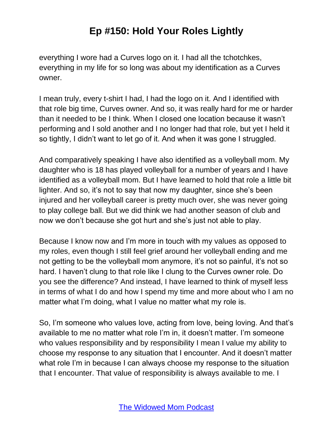everything I wore had a Curves logo on it. I had all the tchotchkes, everything in my life for so long was about my identification as a Curves owner.

I mean truly, every t-shirt I had, I had the logo on it. And I identified with that role big time, Curves owner. And so, it was really hard for me or harder than it needed to be I think. When I closed one location because it wasn't performing and I sold another and I no longer had that role, but yet I held it so tightly, I didn't want to let go of it. And when it was gone I struggled.

And comparatively speaking I have also identified as a volleyball mom. My daughter who is 18 has played volleyball for a number of years and I have identified as a volleyball mom. But I have learned to hold that role a little bit lighter. And so, it's not to say that now my daughter, since she's been injured and her volleyball career is pretty much over, she was never going to play college ball. But we did think we had another season of club and now we don't because she got hurt and she's just not able to play.

Because I know now and I'm more in touch with my values as opposed to my roles, even though I still feel grief around her volleyball ending and me not getting to be the volleyball mom anymore, it's not so painful, it's not so hard. I haven't clung to that role like I clung to the Curves owner role. Do you see the difference? And instead, I have learned to think of myself less in terms of what I do and how I spend my time and more about who I am no matter what I'm doing, what I value no matter what my role is.

So, I'm someone who values love, acting from love, being loving. And that's available to me no matter what role I'm in, it doesn't matter. I'm someone who values responsibility and by responsibility I mean I value my ability to choose my response to any situation that I encounter. And it doesn't matter what role I'm in because I can always choose my response to the situation that I encounter. That value of responsibility is always available to me. I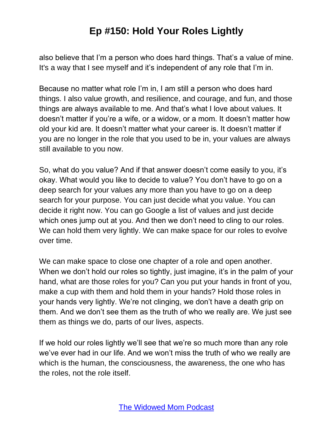also believe that I'm a person who does hard things. That's a value of mine. It's a way that I see myself and it's independent of any role that I'm in.

Because no matter what role I'm in, I am still a person who does hard things. I also value growth, and resilience, and courage, and fun, and those things are always available to me. And that's what I love about values. It doesn't matter if you're a wife, or a widow, or a mom. It doesn't matter how old your kid are. It doesn't matter what your career is. It doesn't matter if you are no longer in the role that you used to be in, your values are always still available to you now.

So, what do you value? And if that answer doesn't come easily to you, it's okay. What would you like to decide to value? You don't have to go on a deep search for your values any more than you have to go on a deep search for your purpose. You can just decide what you value. You can decide it right now. You can go Google a list of values and just decide which ones jump out at you. And then we don't need to cling to our roles. We can hold them very lightly. We can make space for our roles to evolve over time.

We can make space to close one chapter of a role and open another. When we don't hold our roles so tightly, just imagine, it's in the palm of your hand, what are those roles for you? Can you put your hands in front of you, make a cup with them and hold them in your hands? Hold those roles in your hands very lightly. We're not clinging, we don't have a death grip on them. And we don't see them as the truth of who we really are. We just see them as things we do, parts of our lives, aspects.

If we hold our roles lightly we'll see that we're so much more than any role we've ever had in our life. And we won't miss the truth of who we really are which is the human, the consciousness, the awareness, the one who has the roles, not the role itself.